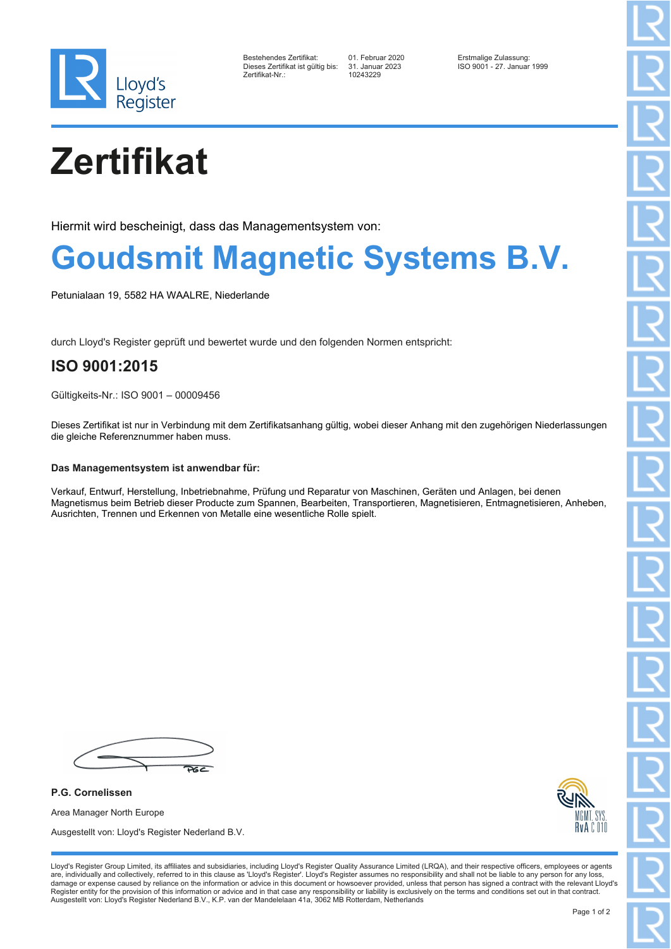

| Bestehendes Zertifikat:         |  |
|---------------------------------|--|
| Dieses Zertifikat ist gültig bi |  |
| Zertifikat-Nr.∶                 |  |

10243229

Bestehendes Zertifikat: 01. Februar 2020 Erstmalige Zulassung: Dieses Zertifikat ist gültig bis: 31. Januar 2023 ISO 9001 - 27. Januar 1999

# **Zertifikat**

Hiermit wird bescheinigt, dass das Managementsystem von:

### **Goudsmit Magnetic Systems B.V.**

Petunialaan 19, 5582 HA WAALRE, Niederlande

durch Lloyd's Register geprüft und bewertet wurde und den folgenden Normen entspricht:

### **ISO 9001:2015**

Gültigkeits-Nr.: ISO 9001 – 00009456

Dieses Zertifikat ist nur in Verbindung mit dem Zertifikatsanhang gültig, wobei dieser Anhang mit den zugehörigen Niederlassungen die gleiche Referenznummer haben muss.

#### **Das Managementsystem ist anwendbar für:**

Verkauf, Entwurf, Herstellung, Inbetriebnahme, Prüfung und Reparatur von Maschinen, Geräten und Anlagen, bei denen Magnetismus beim Betrieb dieser Producte zum Spannen, Bearbeiten, Transportieren, Magnetisieren, Entmagnetisieren, Anheben, Ausrichten, Trennen und Erkennen von Metalle eine wesentliche Rolle spielt.

 $26c$ 

**P.G. Cornelissen** Area Manager North Europe Ausgestellt von: Lloyd's Register Nederland B.V.



Lloyd's Register Group Limited, its affiliates and subsidiaries, including Lloyd's Register Quality Assurance Limited (LRQA), and their respective officers, employees or agents are, individually and collectively, referred to in this clause as 'Lloyd's Register'. Lloyd's Register assumes no responsibility and shall not be liable to any person for any loss,<br>damage or expense caused by reliance on t Register entity for the provision of this information or advice and in that case any responsibility or liability is exclusively on the terms and conditions set out in that contract. Ausgestellt von: Lloyd's Register Nederland B.V., K.P. van der Mandelelaan 41a, 3062 MB Rotterdam, Netherlands